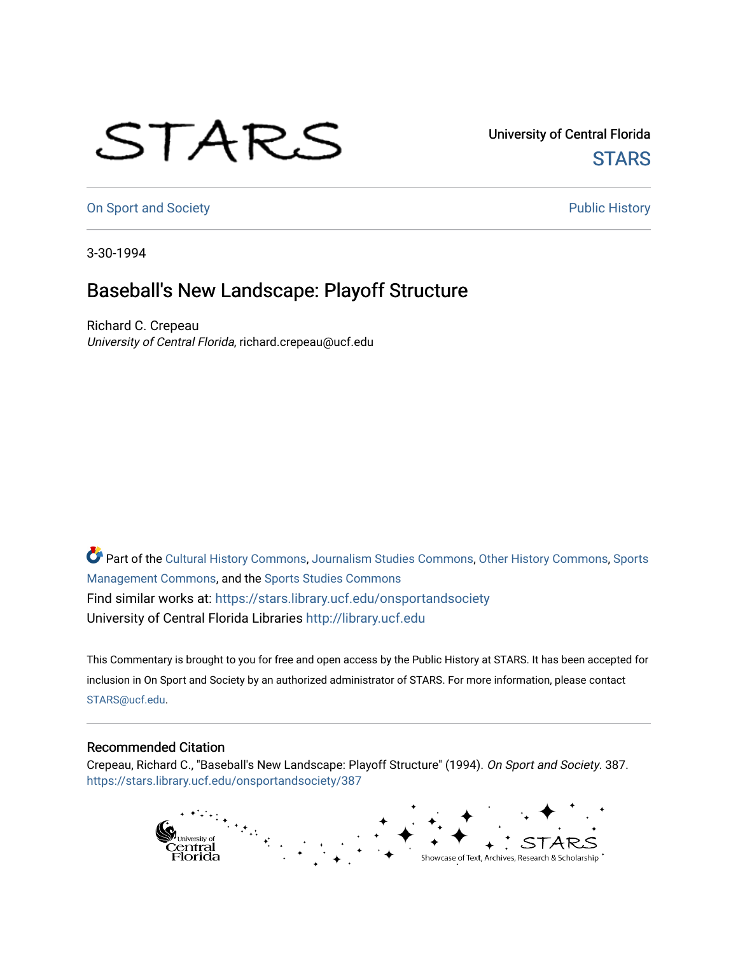## STARS

University of Central Florida **STARS** 

[On Sport and Society](https://stars.library.ucf.edu/onsportandsociety) **Public History** Public History

3-30-1994

## Baseball's New Landscape: Playoff Structure

Richard C. Crepeau University of Central Florida, richard.crepeau@ucf.edu

Part of the [Cultural History Commons](http://network.bepress.com/hgg/discipline/496?utm_source=stars.library.ucf.edu%2Fonsportandsociety%2F387&utm_medium=PDF&utm_campaign=PDFCoverPages), [Journalism Studies Commons,](http://network.bepress.com/hgg/discipline/333?utm_source=stars.library.ucf.edu%2Fonsportandsociety%2F387&utm_medium=PDF&utm_campaign=PDFCoverPages) [Other History Commons,](http://network.bepress.com/hgg/discipline/508?utm_source=stars.library.ucf.edu%2Fonsportandsociety%2F387&utm_medium=PDF&utm_campaign=PDFCoverPages) [Sports](http://network.bepress.com/hgg/discipline/1193?utm_source=stars.library.ucf.edu%2Fonsportandsociety%2F387&utm_medium=PDF&utm_campaign=PDFCoverPages) [Management Commons](http://network.bepress.com/hgg/discipline/1193?utm_source=stars.library.ucf.edu%2Fonsportandsociety%2F387&utm_medium=PDF&utm_campaign=PDFCoverPages), and the [Sports Studies Commons](http://network.bepress.com/hgg/discipline/1198?utm_source=stars.library.ucf.edu%2Fonsportandsociety%2F387&utm_medium=PDF&utm_campaign=PDFCoverPages) Find similar works at: <https://stars.library.ucf.edu/onsportandsociety> University of Central Florida Libraries [http://library.ucf.edu](http://library.ucf.edu/) 

This Commentary is brought to you for free and open access by the Public History at STARS. It has been accepted for inclusion in On Sport and Society by an authorized administrator of STARS. For more information, please contact [STARS@ucf.edu](mailto:STARS@ucf.edu).

## Recommended Citation

Crepeau, Richard C., "Baseball's New Landscape: Playoff Structure" (1994). On Sport and Society. 387. [https://stars.library.ucf.edu/onsportandsociety/387](https://stars.library.ucf.edu/onsportandsociety/387?utm_source=stars.library.ucf.edu%2Fonsportandsociety%2F387&utm_medium=PDF&utm_campaign=PDFCoverPages)

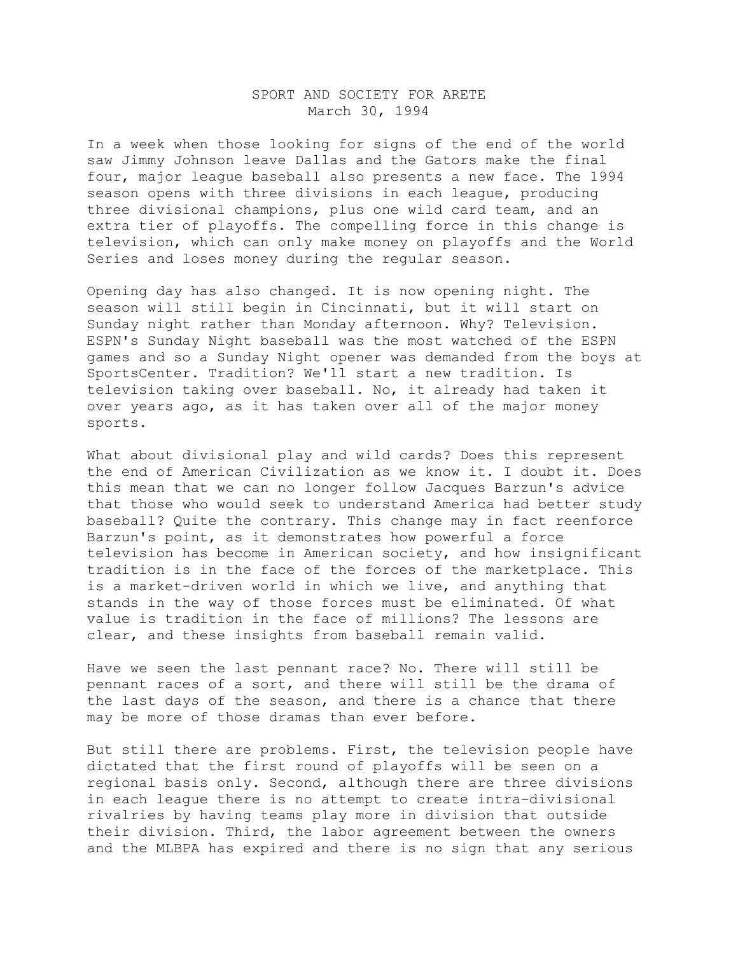## SPORT AND SOCIETY FOR ARETE March 30, 1994

In a week when those looking for signs of the end of the world saw Jimmy Johnson leave Dallas and the Gators make the final four, major league baseball also presents a new face. The 1994 season opens with three divisions in each league, producing three divisional champions, plus one wild card team, and an extra tier of playoffs. The compelling force in this change is television, which can only make money on playoffs and the World Series and loses money during the regular season.

Opening day has also changed. It is now opening night. The season will still begin in Cincinnati, but it will start on Sunday night rather than Monday afternoon. Why? Television. ESPN's Sunday Night baseball was the most watched of the ESPN games and so a Sunday Night opener was demanded from the boys at SportsCenter. Tradition? We'll start a new tradition. Is television taking over baseball. No, it already had taken it over years ago, as it has taken over all of the major money sports.

What about divisional play and wild cards? Does this represent the end of American Civilization as we know it. I doubt it. Does this mean that we can no longer follow Jacques Barzun's advice that those who would seek to understand America had better study baseball? Quite the contrary. This change may in fact reenforce Barzun's point, as it demonstrates how powerful a force television has become in American society, and how insignificant tradition is in the face of the forces of the marketplace. This is a market-driven world in which we live, and anything that stands in the way of those forces must be eliminated. Of what value is tradition in the face of millions? The lessons are clear, and these insights from baseball remain valid.

Have we seen the last pennant race? No. There will still be pennant races of a sort, and there will still be the drama of the last days of the season, and there is a chance that there may be more of those dramas than ever before.

But still there are problems. First, the television people have dictated that the first round of playoffs will be seen on a regional basis only. Second, although there are three divisions in each league there is no attempt to create intra-divisional rivalries by having teams play more in division that outside their division. Third, the labor agreement between the owners and the MLBPA has expired and there is no sign that any serious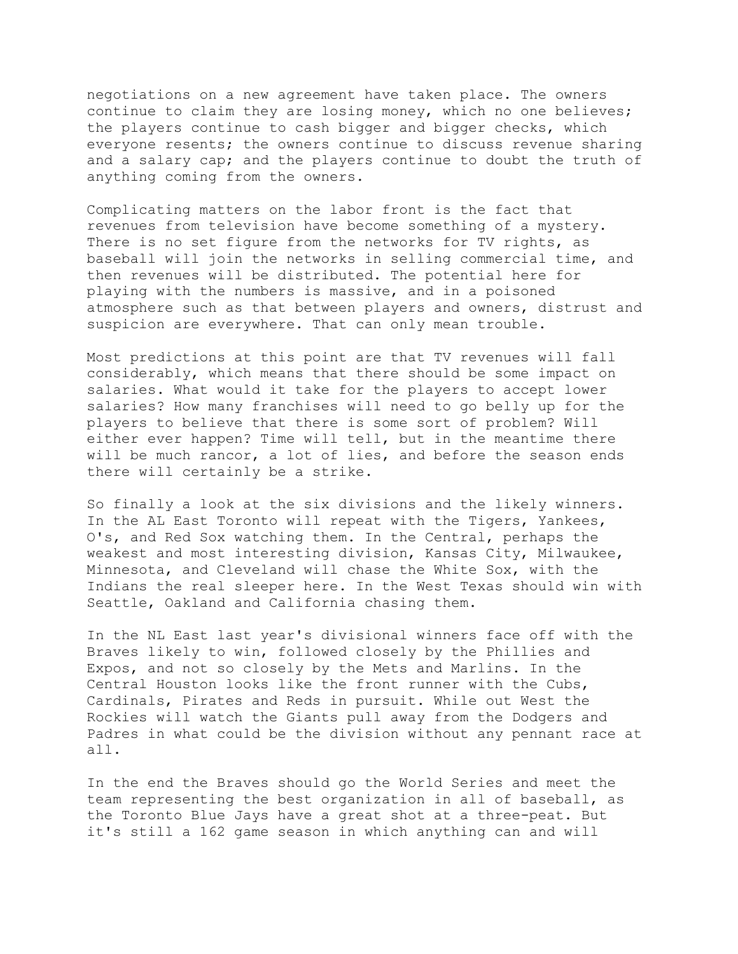negotiations on a new agreement have taken place. The owners continue to claim they are losing money, which no one believes; the players continue to cash bigger and bigger checks, which everyone resents; the owners continue to discuss revenue sharing and a salary cap; and the players continue to doubt the truth of anything coming from the owners.

Complicating matters on the labor front is the fact that revenues from television have become something of a mystery. There is no set figure from the networks for TV rights, as baseball will join the networks in selling commercial time, and then revenues will be distributed. The potential here for playing with the numbers is massive, and in a poisoned atmosphere such as that between players and owners, distrust and suspicion are everywhere. That can only mean trouble.

Most predictions at this point are that TV revenues will fall considerably, which means that there should be some impact on salaries. What would it take for the players to accept lower salaries? How many franchises will need to go belly up for the players to believe that there is some sort of problem? Will either ever happen? Time will tell, but in the meantime there will be much rancor, a lot of lies, and before the season ends there will certainly be a strike.

So finally a look at the six divisions and the likely winners. In the AL East Toronto will repeat with the Tigers, Yankees, O's, and Red Sox watching them. In the Central, perhaps the weakest and most interesting division, Kansas City, Milwaukee, Minnesota, and Cleveland will chase the White Sox, with the Indians the real sleeper here. In the West Texas should win with Seattle, Oakland and California chasing them.

In the NL East last year's divisional winners face off with the Braves likely to win, followed closely by the Phillies and Expos, and not so closely by the Mets and Marlins. In the Central Houston looks like the front runner with the Cubs, Cardinals, Pirates and Reds in pursuit. While out West the Rockies will watch the Giants pull away from the Dodgers and Padres in what could be the division without any pennant race at all.

In the end the Braves should go the World Series and meet the team representing the best organization in all of baseball, as the Toronto Blue Jays have a great shot at a three-peat. But it's still a 162 game season in which anything can and will